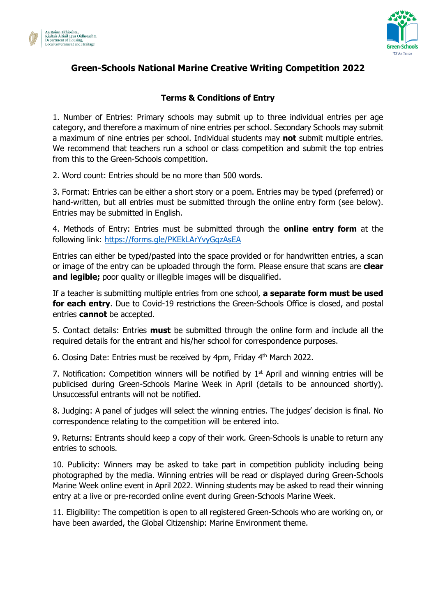



## **Green-Schools National Marine Creative Writing Competition 2022**

## **Terms & Conditions of Entry**

1. Number of Entries: Primary schools may submit up to three individual entries per age category, and therefore a maximum of nine entries per school. Secondary Schools may submit a maximum of nine entries per school. Individual students may **not** submit multiple entries. We recommend that teachers run a school or class competition and submit the top entries from this to the Green-Schools competition.

2. Word count: Entries should be no more than 500 words.

3. Format: Entries can be either a short story or a poem. Entries may be typed (preferred) or hand-written, but all entries must be submitted through the online entry form (see below). Entries may be submitted in English.

4. Methods of Entry: Entries must be submitted through the **online entry form** at the following link:<https://forms.gle/PKEkLArYvyGqzAsEA>

Entries can either be typed/pasted into the space provided or for handwritten entries, a scan or image of the entry can be uploaded through the form. Please ensure that scans are **clear and legible;** poor quality or illegible images will be disqualified.

If a teacher is submitting multiple entries from one school, **a separate form must be used for each entry**. Due to Covid-19 restrictions the Green-Schools Office is closed, and postal entries **cannot** be accepted.

5. Contact details: Entries **must** be submitted through the online form and include all the required details for the entrant and his/her school for correspondence purposes.

6. Closing Date: Entries must be received by 4pm, Friday 4<sup>th</sup> March 2022.

7. Notification: Competition winners will be notified by  $1<sup>st</sup>$  April and winning entries will be publicised during Green-Schools Marine Week in April (details to be announced shortly). Unsuccessful entrants will not be notified.

8. Judging: A panel of judges will select the winning entries. The judges' decision is final. No correspondence relating to the competition will be entered into.

9. Returns: Entrants should keep a copy of their work. Green-Schools is unable to return any entries to schools.

10. Publicity: Winners may be asked to take part in competition publicity including being photographed by the media. Winning entries will be read or displayed during Green-Schools Marine Week online event in April 2022. Winning students may be asked to read their winning entry at a live or pre-recorded online event during Green-Schools Marine Week.

11. Eligibility: The competition is open to all registered Green-Schools who are working on, or have been awarded, the Global Citizenship: Marine Environment theme.